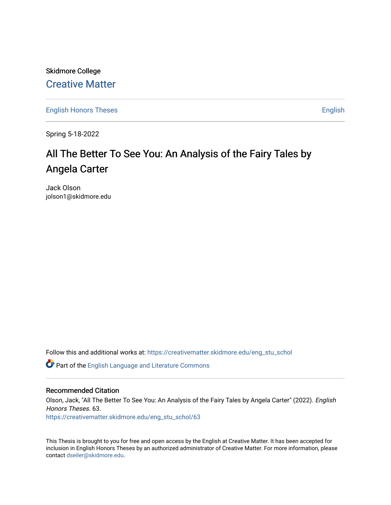Skidmore College [Creative Matter](https://creativematter.skidmore.edu/) 

[English Honors Theses](https://creativematter.skidmore.edu/eng_stu_schol) **English** English

Spring 5-18-2022

# All The Better To See You: An Analysis of the Fairy Tales by Angela Carter

Jack Olson jolson1@skidmore.edu

Follow this and additional works at: [https://creativematter.skidmore.edu/eng\\_stu\\_schol](https://creativematter.skidmore.edu/eng_stu_schol?utm_source=creativematter.skidmore.edu%2Feng_stu_schol%2F63&utm_medium=PDF&utm_campaign=PDFCoverPages) 

Part of the [English Language and Literature Commons](https://network.bepress.com/hgg/discipline/455?utm_source=creativematter.skidmore.edu%2Feng_stu_schol%2F63&utm_medium=PDF&utm_campaign=PDFCoverPages)

# Recommended Citation

Olson, Jack, "All The Better To See You: An Analysis of the Fairy Tales by Angela Carter" (2022). English Honors Theses. 63.

[https://creativematter.skidmore.edu/eng\\_stu\\_schol/63](https://creativematter.skidmore.edu/eng_stu_schol/63?utm_source=creativematter.skidmore.edu%2Feng_stu_schol%2F63&utm_medium=PDF&utm_campaign=PDFCoverPages)

This Thesis is brought to you for free and open access by the English at Creative Matter. It has been accepted for inclusion in English Honors Theses by an authorized administrator of Creative Matter. For more information, please contact [dseiler@skidmore.edu.](mailto:dseiler@skidmore.edu)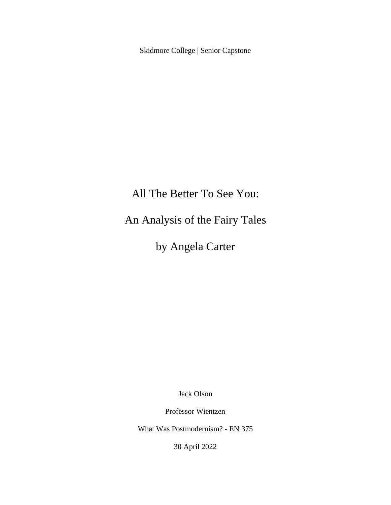Skidmore College | Senior Capstone

# All The Better To See You:

An Analysis of the Fairy Tales

by Angela Carter

Jack Olson

Professor Wientzen

What Was Postmodernism? - EN 375

30 April 2022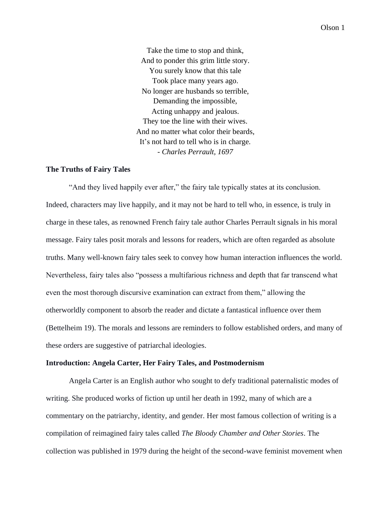Take the time to stop and think, And to ponder this grim little story. You surely know that this tale Took place many years ago. No longer are husbands so terrible, Demanding the impossible, Acting unhappy and jealous. They toe the line with their wives. And no matter what color their beards, It's not hard to tell who is in charge. *- Charles Perrault, 1697*

#### **The Truths of Fairy Tales**

"And they lived happily ever after," the fairy tale typically states at its conclusion. Indeed, characters may live happily, and it may not be hard to tell who, in essence, is truly in charge in these tales, as renowned French fairy tale author Charles Perrault signals in his moral message. Fairy tales posit morals and lessons for readers, which are often regarded as absolute truths. Many well-known fairy tales seek to convey how human interaction influences the world. Nevertheless, fairy tales also "possess a multifarious richness and depth that far transcend what even the most thorough discursive examination can extract from them," allowing the otherworldly component to absorb the reader and dictate a fantastical influence over them (Bettelheim 19). The morals and lessons are reminders to follow established orders, and many of these orders are suggestive of patriarchal ideologies.

# **Introduction: Angela Carter, Her Fairy Tales, and Postmodernism**

Angela Carter is an English author who sought to defy traditional paternalistic modes of writing. She produced works of fiction up until her death in 1992, many of which are a commentary on the patriarchy, identity, and gender. Her most famous collection of writing is a compilation of reimagined fairy tales called *The Bloody Chamber and Other Stories*. The collection was published in 1979 during the height of the second-wave feminist movement when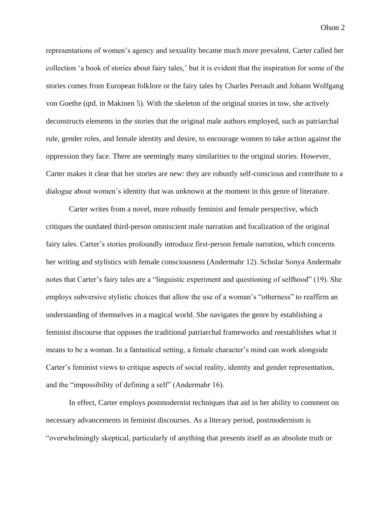representations of women's agency and sexuality became much more prevalent. Carter called her collection 'a book of stories about fairy tales,' but it is evident that the inspiration for some of the stories comes from European folklore or the fairy tales by Charles Perrault and Johann Wolfgang von Goethe (qtd. in Makinen 5). With the skeleton of the original stories in tow, she actively deconstructs elements in the stories that the original male authors employed, such as patriarchal rule, gender roles, and female identity and desire, to encourage women to take action against the oppression they face. There are seemingly many similarities to the original stories. However, Carter makes it clear that her stories are new: they are robustly self-conscious and contribute to a dialogue about women's identity that was unknown at the moment in this genre of literature.

Carter writes from a novel, more robustly feminist and female perspective, which critiques the outdated third-person omniscient male narration and focalization of the original fairy tales. Carter's stories profoundly introduce first-person female narration, which concerns her writing and stylistics with female consciousness (Andermahr 12). Scholar Sonya Andermahr notes that Carter's fairy tales are a "linguistic experiment and questioning of selfhood" (19). She employs subversive stylistic choices that allow the use of a woman's "otherness" to reaffirm an understanding of themselves in a magical world. She navigates the genre by establishing a feminist discourse that opposes the traditional patriarchal frameworks and reestablishes what it means to be a woman. In a fantastical setting, a female character's mind can work alongside Carter's feminist views to critique aspects of social reality, identity and gender representation, and the "impossibility of defining a self" (Andermahr 16).

In effect, Carter employs postmodernist techniques that aid in her ability to comment on necessary advancements in feminist discourses. As a literary period, postmodernism is "overwhelmingly skeptical, particularly of anything that presents itself as an absolute truth or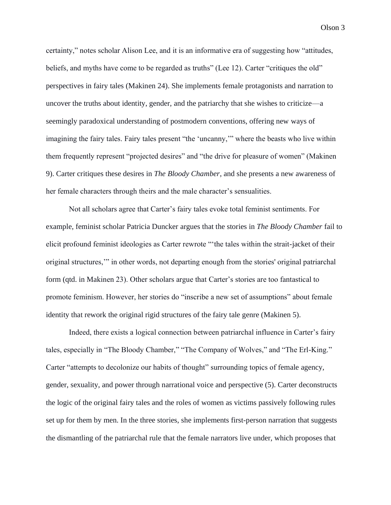certainty," notes scholar Alison Lee, and it is an informative era of suggesting how "attitudes, beliefs, and myths have come to be regarded as truths" (Lee 12). Carter "critiques the old" perspectives in fairy tales (Makinen 24). She implements female protagonists and narration to uncover the truths about identity, gender, and the patriarchy that she wishes to criticize––a seemingly paradoxical understanding of postmodern conventions, offering new ways of imagining the fairy tales. Fairy tales present "the 'uncanny,'" where the beasts who live within them frequently represent "projected desires" and "the drive for pleasure of women" (Makinen 9). Carter critiques these desires in *The Bloody Chamber*, and she presents a new awareness of her female characters through theirs and the male character's sensualities.

Not all scholars agree that Carter's fairy tales evoke total feminist sentiments. For example, feminist scholar Patricia Duncker argues that the stories in *The Bloody Chamber* fail to elicit profound feminist ideologies as Carter rewrote "'the tales within the strait-jacket of their original structures,'" in other words, not departing enough from the stories' original patriarchal form (qtd. in Makinen 23). Other scholars argue that Carter's stories are too fantastical to promote feminism. However, her stories do "inscribe a new set of assumptions" about female identity that rework the original rigid structures of the fairy tale genre (Makinen 5).

Indeed, there exists a logical connection between patriarchal influence in Carter's fairy tales, especially in "The Bloody Chamber," "The Company of Wolves," and "The Erl-King." Carter "attempts to decolonize our habits of thought" surrounding topics of female agency, gender, sexuality, and power through narrational voice and perspective (5). Carter deconstructs the logic of the original fairy tales and the roles of women as victims passively following rules set up for them by men. In the three stories, she implements first-person narration that suggests the dismantling of the patriarchal rule that the female narrators live under, which proposes that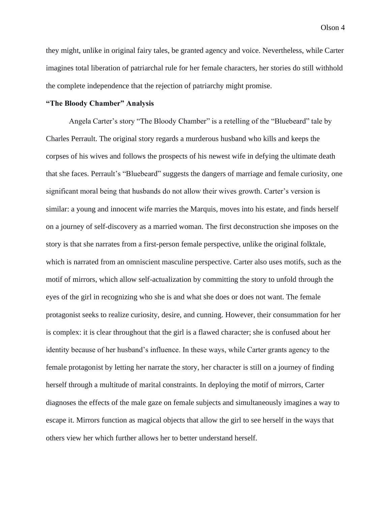they might, unlike in original fairy tales, be granted agency and voice. Nevertheless, while Carter imagines total liberation of patriarchal rule for her female characters, her stories do still withhold the complete independence that the rejection of patriarchy might promise.

# **"The Bloody Chamber" Analysis**

Angela Carter's story "The Bloody Chamber" is a retelling of the "Bluebeard" tale by Charles Perrault. The original story regards a murderous husband who kills and keeps the corpses of his wives and follows the prospects of his newest wife in defying the ultimate death that she faces. Perrault's "Bluebeard" suggests the dangers of marriage and female curiosity, one significant moral being that husbands do not allow their wives growth. Carter's version is similar: a young and innocent wife marries the Marquis, moves into his estate, and finds herself on a journey of self-discovery as a married woman. The first deconstruction she imposes on the story is that she narrates from a first-person female perspective, unlike the original folktale, which is narrated from an omniscient masculine perspective. Carter also uses motifs, such as the motif of mirrors, which allow self-actualization by committing the story to unfold through the eyes of the girl in recognizing who she is and what she does or does not want. The female protagonist seeks to realize curiosity, desire, and cunning. However, their consummation for her is complex: it is clear throughout that the girl is a flawed character; she is confused about her identity because of her husband's influence. In these ways, while Carter grants agency to the female protagonist by letting her narrate the story, her character is still on a journey of finding herself through a multitude of marital constraints. In deploying the motif of mirrors, Carter diagnoses the effects of the male gaze on female subjects and simultaneously imagines a way to escape it. Mirrors function as magical objects that allow the girl to see herself in the ways that others view her which further allows her to better understand herself.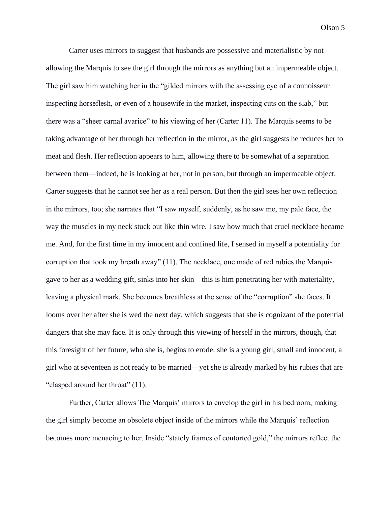Carter uses mirrors to suggest that husbands are possessive and materialistic by not allowing the Marquis to see the girl through the mirrors as anything but an impermeable object. The girl saw him watching her in the "gilded mirrors with the assessing eye of a connoisseur inspecting horseflesh, or even of a housewife in the market, inspecting cuts on the slab," but there was a "sheer carnal avarice" to his viewing of her (Carter 11). The Marquis seems to be taking advantage of her through her reflection in the mirror, as the girl suggests he reduces her to meat and flesh. Her reflection appears to him, allowing there to be somewhat of a separation between them––indeed, he is looking at her, not in person, but through an impermeable object. Carter suggests that he cannot see her as a real person. But then the girl sees her own reflection in the mirrors, too; she narrates that "I saw myself, suddenly, as he saw me, my pale face, the way the muscles in my neck stuck out like thin wire. I saw how much that cruel necklace became me. And, for the first time in my innocent and confined life, I sensed in myself a potentiality for corruption that took my breath away" (11). The necklace, one made of red rubies the Marquis gave to her as a wedding gift, sinks into her skin––this is him penetrating her with materiality, leaving a physical mark. She becomes breathless at the sense of the "corruption" she faces. It looms over her after she is wed the next day, which suggests that she is cognizant of the potential dangers that she may face. It is only through this viewing of herself in the mirrors, though, that this foresight of her future, who she is, begins to erode: she is a young girl, small and innocent, a girl who at seventeen is not ready to be married––yet she is already marked by his rubies that are "clasped around her throat" (11).

Further, Carter allows The Marquis' mirrors to envelop the girl in his bedroom, making the girl simply become an obsolete object inside of the mirrors while the Marquis' reflection becomes more menacing to her. Inside "stately frames of contorted gold," the mirrors reflect the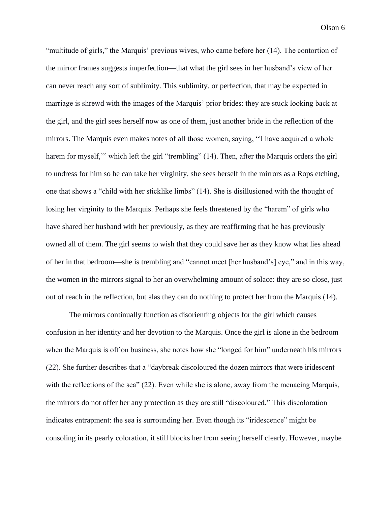"multitude of girls," the Marquis' previous wives, who came before her (14). The contortion of the mirror frames suggests imperfection––that what the girl sees in her husband's view of her can never reach any sort of sublimity. This sublimity, or perfection, that may be expected in marriage is shrewd with the images of the Marquis' prior brides: they are stuck looking back at the girl, and the girl sees herself now as one of them, just another bride in the reflection of the mirrors. The Marquis even makes notes of all those women, saying, "'I have acquired a whole harem for myself," which left the girl "trembling" (14). Then, after the Marquis orders the girl to undress for him so he can take her virginity, she sees herself in the mirrors as a Rops etching, one that shows a "child with her sticklike limbs" (14). She is disillusioned with the thought of losing her virginity to the Marquis. Perhaps she feels threatened by the "harem" of girls who have shared her husband with her previously, as they are reaffirming that he has previously owned all of them. The girl seems to wish that they could save her as they know what lies ahead of her in that bedroom––she is trembling and "cannot meet [her husband's] eye," and in this way, the women in the mirrors signal to her an overwhelming amount of solace: they are so close, just out of reach in the reflection, but alas they can do nothing to protect her from the Marquis (14).

The mirrors continually function as disorienting objects for the girl which causes confusion in her identity and her devotion to the Marquis. Once the girl is alone in the bedroom when the Marquis is off on business, she notes how she "longed for him" underneath his mirrors (22). She further describes that a "daybreak discoloured the dozen mirrors that were iridescent with the reflections of the sea" (22). Even while she is alone, away from the menacing Marquis, the mirrors do not offer her any protection as they are still "discoloured." This discoloration indicates entrapment: the sea is surrounding her. Even though its "iridescence" might be consoling in its pearly coloration, it still blocks her from seeing herself clearly. However, maybe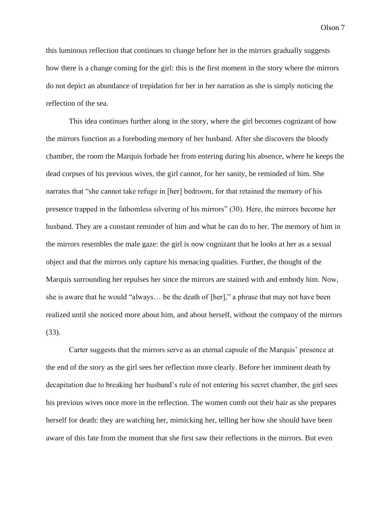this luminous reflection that continues to change before her in the mirrors gradually suggests how there is a change coming for the girl: this is the first moment in the story where the mirrors do not depict an abundance of trepidation for her in her narration as she is simply noticing the reflection of the sea.

This idea continues further along in the story, where the girl becomes cognizant of how the mirrors function as a foreboding memory of her husband. After she discovers the bloody chamber, the room the Marquis forbade her from entering during his absence, where he keeps the dead corpses of his previous wives, the girl cannot, for her sanity, be reminded of him. She narrates that "she cannot take refuge in [her] bedroom, for that retained the memory of his presence trapped in the fathomless silvering of his mirrors" (30). Here, the mirrors become her husband. They are a constant reminder of him and what he can do to her. The memory of him in the mirrors resembles the male gaze: the girl is now cognizant that he looks at her as a sexual object and that the mirrors only capture his menacing qualities. Further, the thought of the Marquis surrounding her repulses her since the mirrors are stained with and embody him. Now, she is aware that he would "always… be the death of [her]," a phrase that may not have been realized until she noticed more about him, and about herself, without the company of the mirrors (33).

Carter suggests that the mirrors serve as an eternal capsule of the Marquis' presence at the end of the story as the girl sees her reflection more clearly. Before her imminent death by decapitation due to breaking her husband's rule of not entering his secret chamber, the girl sees his previous wives once more in the reflection. The women comb out their hair as she prepares herself for death: they are watching her, mimicking her, telling her how she should have been aware of this fate from the moment that she first saw their reflections in the mirrors. But even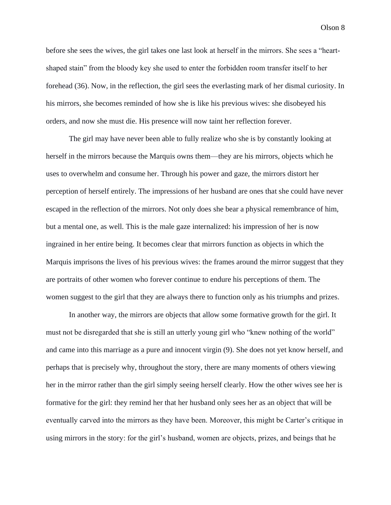before she sees the wives, the girl takes one last look at herself in the mirrors. She sees a "heartshaped stain" from the bloody key she used to enter the forbidden room transfer itself to her forehead (36). Now, in the reflection, the girl sees the everlasting mark of her dismal curiosity. In his mirrors, she becomes reminded of how she is like his previous wives: she disobeyed his orders, and now she must die. His presence will now taint her reflection forever.

The girl may have never been able to fully realize who she is by constantly looking at herself in the mirrors because the Marquis owns them––they are his mirrors, objects which he uses to overwhelm and consume her. Through his power and gaze, the mirrors distort her perception of herself entirely. The impressions of her husband are ones that she could have never escaped in the reflection of the mirrors. Not only does she bear a physical remembrance of him, but a mental one, as well. This is the male gaze internalized: his impression of her is now ingrained in her entire being. It becomes clear that mirrors function as objects in which the Marquis imprisons the lives of his previous wives: the frames around the mirror suggest that they are portraits of other women who forever continue to endure his perceptions of them. The women suggest to the girl that they are always there to function only as his triumphs and prizes.

In another way, the mirrors are objects that allow some formative growth for the girl. It must not be disregarded that she is still an utterly young girl who "knew nothing of the world" and came into this marriage as a pure and innocent virgin (9). She does not yet know herself, and perhaps that is precisely why, throughout the story, there are many moments of others viewing her in the mirror rather than the girl simply seeing herself clearly. How the other wives see her is formative for the girl: they remind her that her husband only sees her as an object that will be eventually carved into the mirrors as they have been. Moreover, this might be Carter's critique in using mirrors in the story: for the girl's husband, women are objects, prizes, and beings that he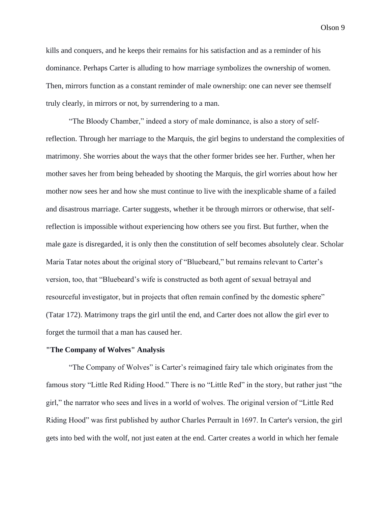kills and conquers, and he keeps their remains for his satisfaction and as a reminder of his dominance. Perhaps Carter is alluding to how marriage symbolizes the ownership of women. Then, mirrors function as a constant reminder of male ownership: one can never see themself truly clearly, in mirrors or not, by surrendering to a man.

"The Bloody Chamber," indeed a story of male dominance, is also a story of selfreflection. Through her marriage to the Marquis, the girl begins to understand the complexities of matrimony. She worries about the ways that the other former brides see her. Further, when her mother saves her from being beheaded by shooting the Marquis, the girl worries about how her mother now sees her and how she must continue to live with the inexplicable shame of a failed and disastrous marriage. Carter suggests, whether it be through mirrors or otherwise, that selfreflection is impossible without experiencing how others see you first. But further, when the male gaze is disregarded, it is only then the constitution of self becomes absolutely clear. Scholar Maria Tatar notes about the original story of "Bluebeard," but remains relevant to Carter's version, too, that "Bluebeard's wife is constructed as both agent of sexual betrayal and resourceful investigator, but in projects that often remain confined by the domestic sphere" (Tatar 172). Matrimony traps the girl until the end, and Carter does not allow the girl ever to forget the turmoil that a man has caused her.

#### **"The Company of Wolves" Analysis**

"The Company of Wolves" is Carter's reimagined fairy tale which originates from the famous story "Little Red Riding Hood." There is no "Little Red" in the story, but rather just "the girl," the narrator who sees and lives in a world of wolves. The original version of "Little Red Riding Hood" was first published by author Charles Perrault in 1697. In Carter's version, the girl gets into bed with the wolf, not just eaten at the end. Carter creates a world in which her female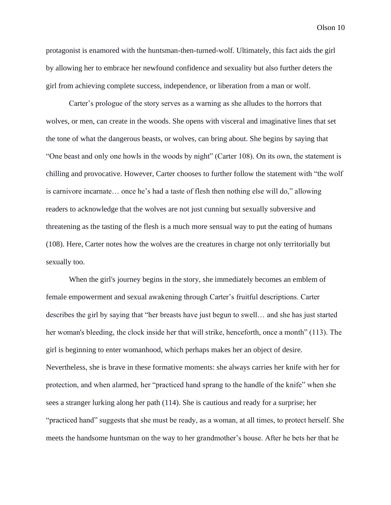protagonist is enamored with the huntsman-then-turned-wolf. Ultimately, this fact aids the girl by allowing her to embrace her newfound confidence and sexuality but also further deters the girl from achieving complete success, independence, or liberation from a man or wolf.

Carter's prologue of the story serves as a warning as she alludes to the horrors that wolves, or men, can create in the woods. She opens with visceral and imaginative lines that set the tone of what the dangerous beasts, or wolves, can bring about. She begins by saying that "One beast and only one howls in the woods by night" (Carter 108). On its own, the statement is chilling and provocative. However, Carter chooses to further follow the statement with "the wolf is carnivore incarnate… once he's had a taste of flesh then nothing else will do," allowing readers to acknowledge that the wolves are not just cunning but sexually subversive and threatening as the tasting of the flesh is a much more sensual way to put the eating of humans (108). Here, Carter notes how the wolves are the creatures in charge not only territorially but sexually too.

When the girl's journey begins in the story, she immediately becomes an emblem of female empowerment and sexual awakening through Carter's fruitful descriptions. Carter describes the girl by saying that "her breasts have just begun to swell… and she has just started her woman's bleeding, the clock inside her that will strike, henceforth, once a month" (113). The girl is beginning to enter womanhood, which perhaps makes her an object of desire. Nevertheless, she is brave in these formative moments: she always carries her knife with her for protection, and when alarmed, her "practiced hand sprang to the handle of the knife" when she sees a stranger lurking along her path (114). She is cautious and ready for a surprise; her "practiced hand" suggests that she must be ready, as a woman, at all times, to protect herself. She meets the handsome huntsman on the way to her grandmother's house. After he bets her that he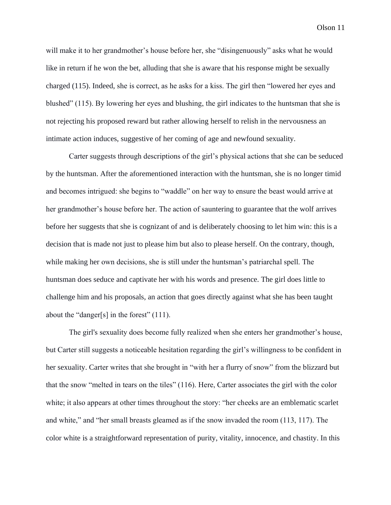will make it to her grandmother's house before her, she "disingenuously" asks what he would like in return if he won the bet, alluding that she is aware that his response might be sexually charged (115). Indeed, she is correct, as he asks for a kiss. The girl then "lowered her eyes and blushed" (115). By lowering her eyes and blushing, the girl indicates to the huntsman that she is not rejecting his proposed reward but rather allowing herself to relish in the nervousness an intimate action induces, suggestive of her coming of age and newfound sexuality.

Carter suggests through descriptions of the girl's physical actions that she can be seduced by the huntsman. After the aforementioned interaction with the huntsman, she is no longer timid and becomes intrigued: she begins to "waddle" on her way to ensure the beast would arrive at her grandmother's house before her. The action of sauntering to guarantee that the wolf arrives before her suggests that she is cognizant of and is deliberately choosing to let him win: this is a decision that is made not just to please him but also to please herself. On the contrary, though, while making her own decisions, she is still under the huntsman's patriarchal spell. The huntsman does seduce and captivate her with his words and presence. The girl does little to challenge him and his proposals, an action that goes directly against what she has been taught about the "danger[s] in the forest" (111).

The girl's sexuality does become fully realized when she enters her grandmother's house, but Carter still suggests a noticeable hesitation regarding the girl's willingness to be confident in her sexuality. Carter writes that she brought in "with her a flurry of snow" from the blizzard but that the snow "melted in tears on the tiles" (116). Here, Carter associates the girl with the color white; it also appears at other times throughout the story: "her cheeks are an emblematic scarlet and white," and "her small breasts gleamed as if the snow invaded the room (113, 117). The color white is a straightforward representation of purity, vitality, innocence, and chastity. In this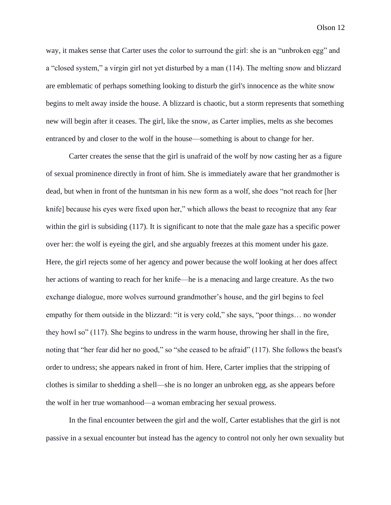way, it makes sense that Carter uses the color to surround the girl: she is an "unbroken egg" and a "closed system," a virgin girl not yet disturbed by a man (114). The melting snow and blizzard are emblematic of perhaps something looking to disturb the girl's innocence as the white snow begins to melt away inside the house. A blizzard is chaotic, but a storm represents that something new will begin after it ceases. The girl, like the snow, as Carter implies, melts as she becomes entranced by and closer to the wolf in the house––something is about to change for her.

Carter creates the sense that the girl is unafraid of the wolf by now casting her as a figure of sexual prominence directly in front of him. She is immediately aware that her grandmother is dead, but when in front of the huntsman in his new form as a wolf, she does "not reach for [her knife] because his eyes were fixed upon her," which allows the beast to recognize that any fear within the girl is subsiding (117). It is significant to note that the male gaze has a specific power over her: the wolf is eyeing the girl, and she arguably freezes at this moment under his gaze. Here, the girl rejects some of her agency and power because the wolf looking at her does affect her actions of wanting to reach for her knife––he is a menacing and large creature. As the two exchange dialogue, more wolves surround grandmother's house, and the girl begins to feel empathy for them outside in the blizzard: "it is very cold," she says, "poor things… no wonder they howl so" (117). She begins to undress in the warm house, throwing her shall in the fire, noting that "her fear did her no good," so "she ceased to be afraid" (117). She follows the beast's order to undress; she appears naked in front of him. Here, Carter implies that the stripping of clothes is similar to shedding a shell––she is no longer an unbroken egg, as she appears before the wolf in her true womanhood––a woman embracing her sexual prowess.

In the final encounter between the girl and the wolf, Carter establishes that the girl is not passive in a sexual encounter but instead has the agency to control not only her own sexuality but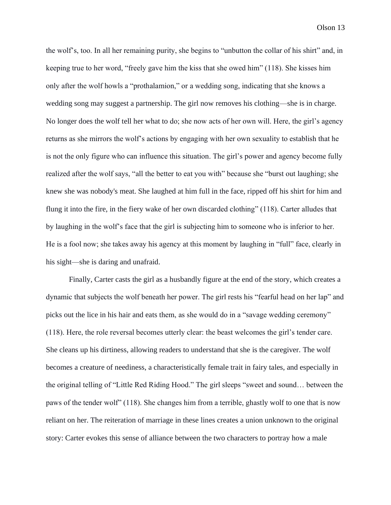the wolf's, too. In all her remaining purity, she begins to "unbutton the collar of his shirt" and, in keeping true to her word, "freely gave him the kiss that she owed him" (118). She kisses him only after the wolf howls a "prothalamion," or a wedding song, indicating that she knows a wedding song may suggest a partnership. The girl now removes his clothing––she is in charge. No longer does the wolf tell her what to do; she now acts of her own will. Here, the girl's agency returns as she mirrors the wolf's actions by engaging with her own sexuality to establish that he is not the only figure who can influence this situation. The girl's power and agency become fully realized after the wolf says, "all the better to eat you with" because she "burst out laughing; she knew she was nobody's meat. She laughed at him full in the face, ripped off his shirt for him and flung it into the fire, in the fiery wake of her own discarded clothing" (118). Carter alludes that by laughing in the wolf's face that the girl is subjecting him to someone who is inferior to her. He is a fool now; she takes away his agency at this moment by laughing in "full" face, clearly in his sight—she is daring and unafraid.

Finally, Carter casts the girl as a husbandly figure at the end of the story, which creates a dynamic that subjects the wolf beneath her power. The girl rests his "fearful head on her lap" and picks out the lice in his hair and eats them, as she would do in a "savage wedding ceremony" (118). Here, the role reversal becomes utterly clear: the beast welcomes the girl's tender care. She cleans up his dirtiness, allowing readers to understand that she is the caregiver. The wolf becomes a creature of neediness, a characteristically female trait in fairy tales, and especially in the original telling of "Little Red Riding Hood." The girl sleeps "sweet and sound… between the paws of the tender wolf" (118). She changes him from a terrible, ghastly wolf to one that is now reliant on her. The reiteration of marriage in these lines creates a union unknown to the original story: Carter evokes this sense of alliance between the two characters to portray how a male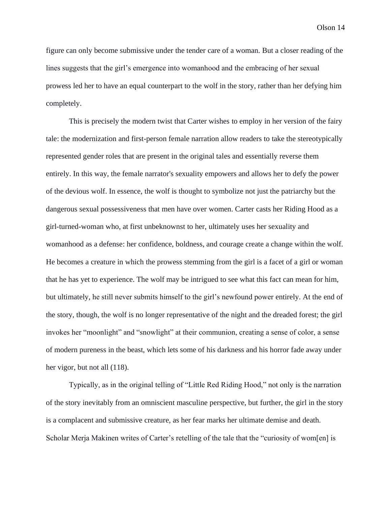figure can only become submissive under the tender care of a woman. But a closer reading of the lines suggests that the girl's emergence into womanhood and the embracing of her sexual prowess led her to have an equal counterpart to the wolf in the story, rather than her defying him completely.

This is precisely the modern twist that Carter wishes to employ in her version of the fairy tale: the modernization and first-person female narration allow readers to take the stereotypically represented gender roles that are present in the original tales and essentially reverse them entirely. In this way, the female narrator's sexuality empowers and allows her to defy the power of the devious wolf. In essence, the wolf is thought to symbolize not just the patriarchy but the dangerous sexual possessiveness that men have over women. Carter casts her Riding Hood as a girl-turned-woman who, at first unbeknownst to her, ultimately uses her sexuality and womanhood as a defense: her confidence, boldness, and courage create a change within the wolf. He becomes a creature in which the prowess stemming from the girl is a facet of a girl or woman that he has yet to experience. The wolf may be intrigued to see what this fact can mean for him, but ultimately, he still never submits himself to the girl's newfound power entirely. At the end of the story, though, the wolf is no longer representative of the night and the dreaded forest; the girl invokes her "moonlight" and "snowlight" at their communion, creating a sense of color, a sense of modern pureness in the beast, which lets some of his darkness and his horror fade away under her vigor, but not all  $(118)$ .

Typically, as in the original telling of "Little Red Riding Hood," not only is the narration of the story inevitably from an omniscient masculine perspective, but further, the girl in the story is a complacent and submissive creature, as her fear marks her ultimate demise and death. Scholar Merja Makinen writes of Carter's retelling of the tale that the "curiosity of wom[en] is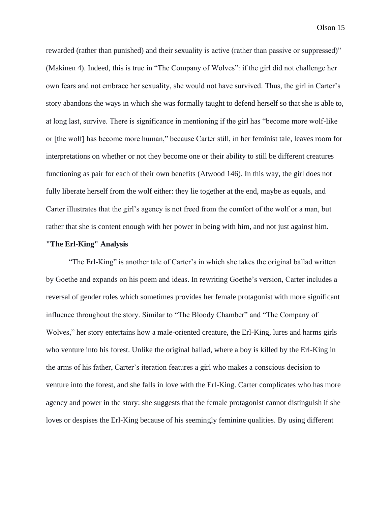rewarded (rather than punished) and their sexuality is active (rather than passive or suppressed)" (Makinen 4). Indeed, this is true in "The Company of Wolves": if the girl did not challenge her own fears and not embrace her sexuality, she would not have survived. Thus, the girl in Carter's story abandons the ways in which she was formally taught to defend herself so that she is able to, at long last, survive. There is significance in mentioning if the girl has "become more wolf-like or [the wolf] has become more human," because Carter still, in her feminist tale, leaves room for interpretations on whether or not they become one or their ability to still be different creatures functioning as pair for each of their own benefits (Atwood 146). In this way, the girl does not fully liberate herself from the wolf either: they lie together at the end, maybe as equals, and Carter illustrates that the girl's agency is not freed from the comfort of the wolf or a man, but rather that she is content enough with her power in being with him, and not just against him.

#### **"The Erl-King" Analysis**

"The Erl-King" is another tale of Carter's in which she takes the original ballad written by Goethe and expands on his poem and ideas. In rewriting Goethe's version, Carter includes a reversal of gender roles which sometimes provides her female protagonist with more significant influence throughout the story. Similar to "The Bloody Chamber" and "The Company of Wolves," her story entertains how a male-oriented creature, the Erl-King, lures and harms girls who venture into his forest. Unlike the original ballad, where a boy is killed by the Erl-King in the arms of his father, Carter's iteration features a girl who makes a conscious decision to venture into the forest, and she falls in love with the Erl-King. Carter complicates who has more agency and power in the story: she suggests that the female protagonist cannot distinguish if she loves or despises the Erl-King because of his seemingly feminine qualities. By using different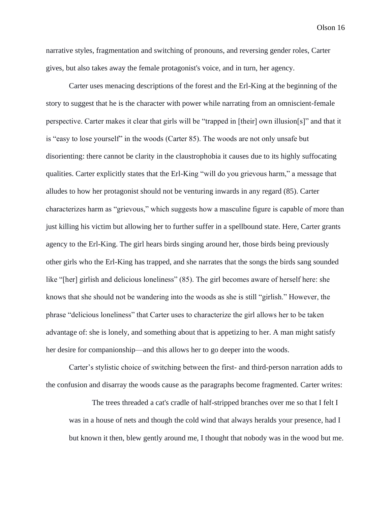narrative styles, fragmentation and switching of pronouns, and reversing gender roles, Carter gives, but also takes away the female protagonist's voice, and in turn, her agency.

Carter uses menacing descriptions of the forest and the Erl-King at the beginning of the story to suggest that he is the character with power while narrating from an omniscient-female perspective. Carter makes it clear that girls will be "trapped in [their] own illusion[s]" and that it is "easy to lose yourself" in the woods (Carter 85). The woods are not only unsafe but disorienting: there cannot be clarity in the claustrophobia it causes due to its highly suffocating qualities. Carter explicitly states that the Erl-King "will do you grievous harm," a message that alludes to how her protagonist should not be venturing inwards in any regard (85). Carter characterizes harm as "grievous," which suggests how a masculine figure is capable of more than just killing his victim but allowing her to further suffer in a spellbound state. Here, Carter grants agency to the Erl-King. The girl hears birds singing around her, those birds being previously other girls who the Erl-King has trapped, and she narrates that the songs the birds sang sounded like "[her] girlish and delicious loneliness" (85). The girl becomes aware of herself here: she knows that she should not be wandering into the woods as she is still "girlish." However, the phrase "delicious loneliness" that Carter uses to characterize the girl allows her to be taken advantage of: she is lonely, and something about that is appetizing to her. A man might satisfy her desire for companionship––and this allows her to go deeper into the woods.

Carter's stylistic choice of switching between the first- and third-person narration adds to the confusion and disarray the woods cause as the paragraphs become fragmented. Carter writes:

The trees threaded a cat's cradle of half-stripped branches over me so that I felt I was in a house of nets and though the cold wind that always heralds your presence, had I but known it then, blew gently around me, I thought that nobody was in the wood but me.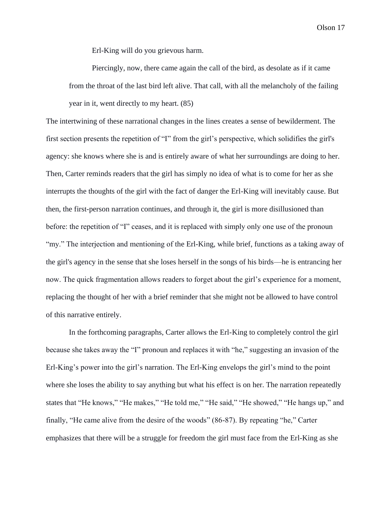Erl-King will do you grievous harm.

Piercingly, now, there came again the call of the bird, as desolate as if it came from the throat of the last bird left alive. That call, with all the melancholy of the failing year in it, went directly to my heart. (85)

The intertwining of these narrational changes in the lines creates a sense of bewilderment. The first section presents the repetition of "I" from the girl's perspective, which solidifies the girl's agency: she knows where she is and is entirely aware of what her surroundings are doing to her. Then, Carter reminds readers that the girl has simply no idea of what is to come for her as she interrupts the thoughts of the girl with the fact of danger the Erl-King will inevitably cause. But then, the first-person narration continues, and through it, the girl is more disillusioned than before: the repetition of "I" ceases, and it is replaced with simply only one use of the pronoun "my." The interjection and mentioning of the Erl-King, while brief, functions as a taking away of the girl's agency in the sense that she loses herself in the songs of his birds––he is entrancing her now. The quick fragmentation allows readers to forget about the girl's experience for a moment, replacing the thought of her with a brief reminder that she might not be allowed to have control of this narrative entirely.

In the forthcoming paragraphs, Carter allows the Erl-King to completely control the girl because she takes away the "I" pronoun and replaces it with "he," suggesting an invasion of the Erl-King's power into the girl's narration. The Erl-King envelops the girl's mind to the point where she loses the ability to say anything but what his effect is on her. The narration repeatedly states that "He knows," "He makes," "He told me," "He said," "He showed," "He hangs up," and finally, "He came alive from the desire of the woods" (86-87). By repeating "he," Carter emphasizes that there will be a struggle for freedom the girl must face from the Erl-King as she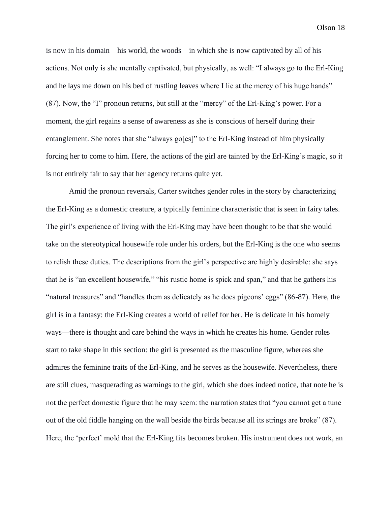is now in his domain––his world, the woods––in which she is now captivated by all of his actions. Not only is she mentally captivated, but physically, as well: "I always go to the Erl-King and he lays me down on his bed of rustling leaves where I lie at the mercy of his huge hands" (87). Now, the "I" pronoun returns, but still at the "mercy" of the Erl-King's power. For a moment, the girl regains a sense of awareness as she is conscious of herself during their entanglement. She notes that she "always go[es]" to the Erl-King instead of him physically forcing her to come to him. Here, the actions of the girl are tainted by the Erl-King's magic, so it is not entirely fair to say that her agency returns quite yet.

Amid the pronoun reversals, Carter switches gender roles in the story by characterizing the Erl-King as a domestic creature, a typically feminine characteristic that is seen in fairy tales. The girl's experience of living with the Erl-King may have been thought to be that she would take on the stereotypical housewife role under his orders, but the Erl-King is the one who seems to relish these duties. The descriptions from the girl's perspective are highly desirable: she says that he is "an excellent housewife," "his rustic home is spick and span," and that he gathers his "natural treasures" and "handles them as delicately as he does pigeons' eggs" (86-87). Here, the girl is in a fantasy: the Erl-King creates a world of relief for her. He is delicate in his homely ways––there is thought and care behind the ways in which he creates his home. Gender roles start to take shape in this section: the girl is presented as the masculine figure, whereas she admires the feminine traits of the Erl-King, and he serves as the housewife. Nevertheless, there are still clues, masquerading as warnings to the girl, which she does indeed notice, that note he is not the perfect domestic figure that he may seem: the narration states that "you cannot get a tune out of the old fiddle hanging on the wall beside the birds because all its strings are broke" (87). Here, the 'perfect' mold that the Erl-King fits becomes broken. His instrument does not work, an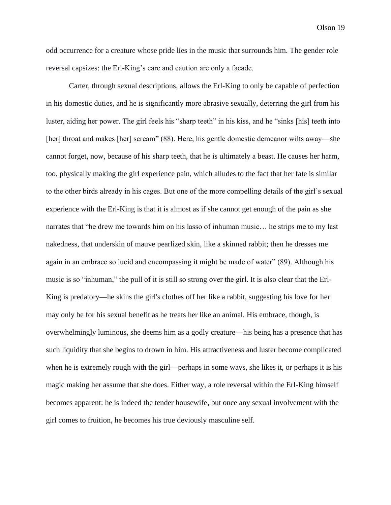odd occurrence for a creature whose pride lies in the music that surrounds him. The gender role reversal capsizes: the Erl-King's care and caution are only a facade.

Carter, through sexual descriptions, allows the Erl-King to only be capable of perfection in his domestic duties, and he is significantly more abrasive sexually, deterring the girl from his luster, aiding her power. The girl feels his "sharp teeth" in his kiss, and he "sinks [his] teeth into [her] throat and makes [her] scream" (88). Here, his gentle domestic demeanor wilts away—she cannot forget, now, because of his sharp teeth, that he is ultimately a beast. He causes her harm, too, physically making the girl experience pain, which alludes to the fact that her fate is similar to the other birds already in his cages. But one of the more compelling details of the girl's sexual experience with the Erl-King is that it is almost as if she cannot get enough of the pain as she narrates that "he drew me towards him on his lasso of inhuman music… he strips me to my last nakedness, that underskin of mauve pearlized skin, like a skinned rabbit; then he dresses me again in an embrace so lucid and encompassing it might be made of water" (89). Although his music is so "inhuman," the pull of it is still so strong over the girl. It is also clear that the Erl-King is predatory––he skins the girl's clothes off her like a rabbit, suggesting his love for her may only be for his sexual benefit as he treats her like an animal. His embrace, though, is overwhelmingly luminous, she deems him as a godly creature––his being has a presence that has such liquidity that she begins to drown in him. His attractiveness and luster become complicated when he is extremely rough with the girl––perhaps in some ways, she likes it, or perhaps it is his magic making her assume that she does. Either way, a role reversal within the Erl-King himself becomes apparent: he is indeed the tender housewife, but once any sexual involvement with the girl comes to fruition, he becomes his true deviously masculine self.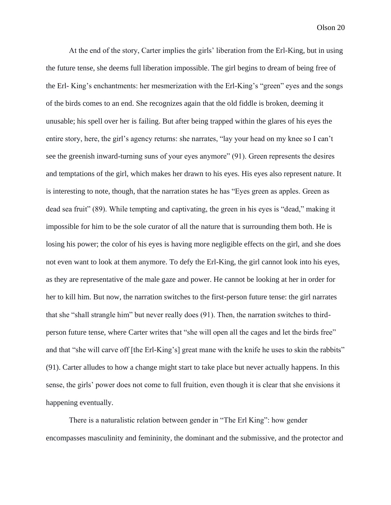At the end of the story, Carter implies the girls' liberation from the Erl-King, but in using the future tense, she deems full liberation impossible. The girl begins to dream of being free of the Erl- King's enchantments: her mesmerization with the Erl-King's "green" eyes and the songs of the birds comes to an end. She recognizes again that the old fiddle is broken, deeming it unusable; his spell over her is failing. But after being trapped within the glares of his eyes the entire story, here, the girl's agency returns: she narrates, "lay your head on my knee so I can't see the greenish inward-turning suns of your eyes anymore" (91). Green represents the desires and temptations of the girl, which makes her drawn to his eyes. His eyes also represent nature. It is interesting to note, though, that the narration states he has "Eyes green as apples. Green as dead sea fruit" (89). While tempting and captivating, the green in his eyes is "dead," making it impossible for him to be the sole curator of all the nature that is surrounding them both. He is losing his power; the color of his eyes is having more negligible effects on the girl, and she does not even want to look at them anymore. To defy the Erl-King, the girl cannot look into his eyes, as they are representative of the male gaze and power. He cannot be looking at her in order for her to kill him. But now, the narration switches to the first-person future tense: the girl narrates that she "shall strangle him" but never really does (91). Then, the narration switches to thirdperson future tense, where Carter writes that "she will open all the cages and let the birds free" and that "she will carve off [the Erl-King's] great mane with the knife he uses to skin the rabbits" (91). Carter alludes to how a change might start to take place but never actually happens. In this sense, the girls' power does not come to full fruition, even though it is clear that she envisions it happening eventually.

There is a naturalistic relation between gender in "The Erl King": how gender encompasses masculinity and femininity, the dominant and the submissive, and the protector and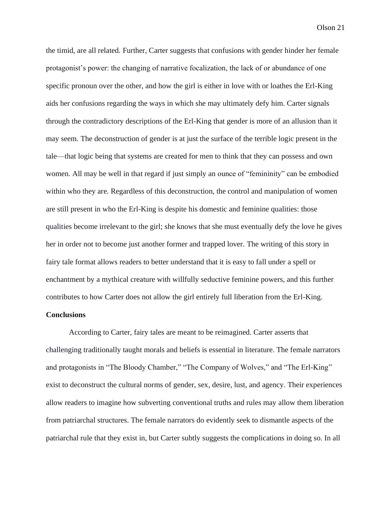the timid, are all related. Further, Carter suggests that confusions with gender hinder her female protagonist's power: the changing of narrative focalization, the lack of or abundance of one specific pronoun over the other, and how the girl is either in love with or loathes the Erl-King aids her confusions regarding the ways in which she may ultimately defy him. Carter signals through the contradictory descriptions of the Erl-King that gender is more of an allusion than it may seem. The deconstruction of gender is at just the surface of the terrible logic present in the tale––that logic being that systems are created for men to think that they can possess and own women. All may be well in that regard if just simply an ounce of "femininity" can be embodied within who they are. Regardless of this deconstruction, the control and manipulation of women are still present in who the Erl-King is despite his domestic and feminine qualities: those qualities become irrelevant to the girl; she knows that she must eventually defy the love he gives her in order not to become just another former and trapped lover. The writing of this story in fairy tale format allows readers to better understand that it is easy to fall under a spell or enchantment by a mythical creature with willfully seductive feminine powers, and this further contributes to how Carter does not allow the girl entirely full liberation from the Erl-King.

# **Conclusions**

According to Carter, fairy tales are meant to be reimagined. Carter asserts that challenging traditionally taught morals and beliefs is essential in literature. The female narrators and protagonists in "The Bloody Chamber," "The Company of Wolves," and "The Erl-King" exist to deconstruct the cultural norms of gender, sex, desire, lust, and agency. Their experiences allow readers to imagine how subverting conventional truths and rules may allow them liberation from patriarchal structures. The female narrators do evidently seek to dismantle aspects of the patriarchal rule that they exist in, but Carter subtly suggests the complications in doing so. In all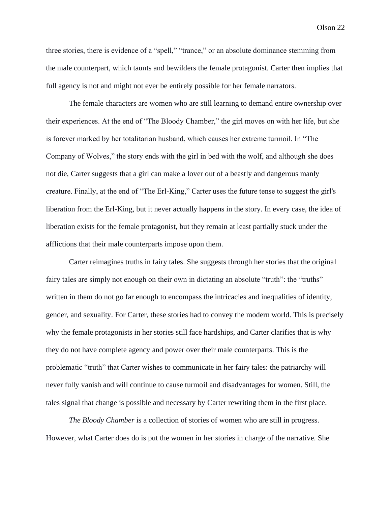three stories, there is evidence of a "spell," "trance," or an absolute dominance stemming from the male counterpart, which taunts and bewilders the female protagonist. Carter then implies that full agency is not and might not ever be entirely possible for her female narrators.

The female characters are women who are still learning to demand entire ownership over their experiences. At the end of "The Bloody Chamber," the girl moves on with her life, but she is forever marked by her totalitarian husband, which causes her extreme turmoil. In "The Company of Wolves," the story ends with the girl in bed with the wolf, and although she does not die, Carter suggests that a girl can make a lover out of a beastly and dangerous manly creature. Finally, at the end of "The Erl-King," Carter uses the future tense to suggest the girl's liberation from the Erl-King, but it never actually happens in the story. In every case, the idea of liberation exists for the female protagonist, but they remain at least partially stuck under the afflictions that their male counterparts impose upon them.

Carter reimagines truths in fairy tales. She suggests through her stories that the original fairy tales are simply not enough on their own in dictating an absolute "truth": the "truths" written in them do not go far enough to encompass the intricacies and inequalities of identity, gender, and sexuality. For Carter, these stories had to convey the modern world. This is precisely why the female protagonists in her stories still face hardships, and Carter clarifies that is why they do not have complete agency and power over their male counterparts. This is the problematic "truth" that Carter wishes to communicate in her fairy tales: the patriarchy will never fully vanish and will continue to cause turmoil and disadvantages for women. Still, the tales signal that change is possible and necessary by Carter rewriting them in the first place.

*The Bloody Chamber* is a collection of stories of women who are still in progress. However, what Carter does do is put the women in her stories in charge of the narrative. She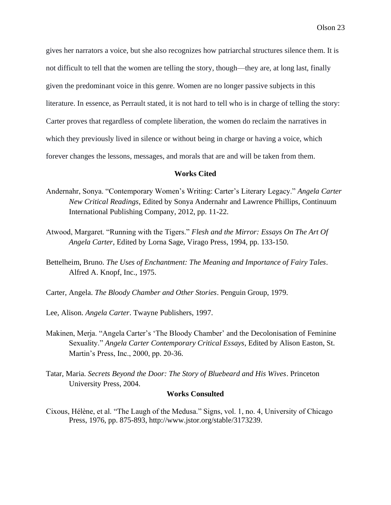gives her narrators a voice, but she also recognizes how patriarchal structures silence them. It is not difficult to tell that the women are telling the story, though––they are, at long last, finally given the predominant voice in this genre. Women are no longer passive subjects in this literature. In essence, as Perrault stated, it is not hard to tell who is in charge of telling the story: Carter proves that regardless of complete liberation, the women do reclaim the narratives in which they previously lived in silence or without being in charge or having a voice, which forever changes the lessons, messages, and morals that are and will be taken from them.

#### **Works Cited**

- Andernahr, Sonya. "Contemporary Women's Writing: Carter's Literary Legacy." *Angela Carter New Critical Readings*, Edited by Sonya Andernahr and Lawrence Phillips, Continuum International Publishing Company, 2012, pp. 11-22.
- Atwood, Margaret. "Running with the Tigers." *Flesh and the Mirror: Essays On The Art Of Angela Carter*, Edited by Lorna Sage, Virago Press, 1994, pp. 133-150.
- Bettelheim, Bruno. *The Uses of Enchantment: The Meaning and Importance of Fairy Tales*. Alfred A. Knopf, Inc., 1975.
- Carter, Angela. *The Bloody Chamber and Other Stories*. Penguin Group, 1979.
- Lee, Alison. *Angela Carter*. Twayne Publishers, 1997.
- Makinen, Merja. "Angela Carter's 'The Bloody Chamber' and the Decolonisation of Feminine Sexuality." *Angela Carter Contemporary Critical Essays*, Edited by Alison Easton, St. Martin's Press, Inc., 2000, pp. 20-36.
- Tatar, Maria. *Secrets Beyond the Door: The Story of Bluebeard and His Wives*. Princeton University Press, 2004.

# **Works Consulted**

Cixous, Hélène, et al. "The Laugh of the Medusa." Signs, vol. 1, no. 4, University of Chicago Press, 1976, pp. 875-893, http://www.jstor.org/stable/3173239.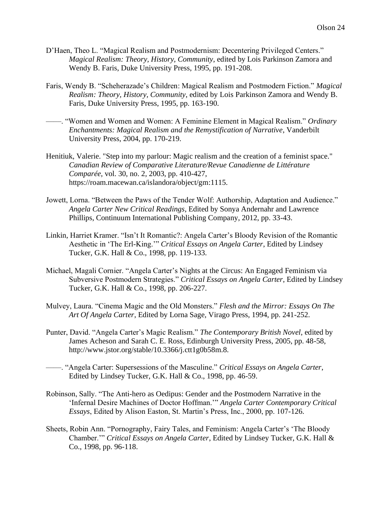- D'Haen, Theo L. "Magical Realism and Postmodernism: Decentering Privileged Centers." *Magical Realism: Theory, History, Community*, edited by Lois Parkinson Zamora and Wendy B. Faris, Duke University Press, 1995, pp. 191-208.
- Faris, Wendy B. "Scheherazade's Children: Magical Realism and Postmodern Fiction." *Magical Realism: Theory, History, Community*, edited by Lois Parkinson Zamora and Wendy B. Faris, Duke University Press, 1995, pp. 163-190.
- ––––. "Women and Women and Women: A Feminine Element in Magical Realism." *Ordinary Enchantments: Magical Realism and the Remystification of Narrative*, Vanderbilt University Press, 2004, pp. 170-219.
- Henitiuk, Valerie. "Step into my parlour: Magic realism and the creation of a feminist space." *Canadian Review of Comparative Literature/Revue Canadienne de Littérature Comparée*, vol. 30, no. 2, 2003, pp. 410-427, https://roam.macewan.ca/islandora/object/gm:1115.
- Jowett, Lorna. "Between the Paws of the Tender Wolf: Authorship, Adaptation and Audience." *Angela Carter New Critical Readings*, Edited by Sonya Andernahr and Lawrence Phillips, Continuum International Publishing Company, 2012, pp. 33-43.
- Linkin, Harriet Kramer. "Isn't It Romantic?: Angela Carter's Bloody Revision of the Romantic Aesthetic in 'The Erl-King.'" *Critical Essays on Angela Carter*, Edited by Lindsey Tucker, G.K. Hall & Co., 1998, pp. 119-133.
- Michael, Magali Cornier. "Angela Carter's Nights at the Circus: An Engaged Feminism via Subversive Postmodern Strategies." *Critical Essays on Angela Carter*, Edited by Lindsey Tucker, G.K. Hall & Co., 1998, pp. 206-227.
- Mulvey, Laura. "Cinema Magic and the Old Monsters." *Flesh and the Mirror: Essays On The Art Of Angela Carter*, Edited by Lorna Sage, Virago Press, 1994, pp. 241-252.
- Punter, David. "Angela Carter's Magic Realism." *The Contemporary British Novel*, edited by James Acheson and Sarah C. E. Ross, Edinburgh University Press, 2005, pp. 48-58, http://www.jstor.org/stable/10.3366/j.ctt1g0b58m.8.
- ––––. "Angela Carter: Supersessions of the Masculine." *Critical Essays on Angela Carter*, Edited by Lindsey Tucker, G.K. Hall & Co., 1998, pp. 46-59.
- Robinson, Sally. "The Anti-hero as Oedipus: Gender and the Postmodern Narrative in the 'Infernal Desire Machines of Doctor Hoffman.'" *Angela Carter Contemporary Critical Essays*, Edited by Alison Easton, St. Martin's Press, Inc., 2000, pp. 107-126.
- Sheets, Robin Ann. "Pornography, Fairy Tales, and Feminism: Angela Carter's 'The Bloody Chamber.'" *Critical Essays on Angela Carter*, Edited by Lindsey Tucker, G.K. Hall & Co., 1998, pp. 96-118.